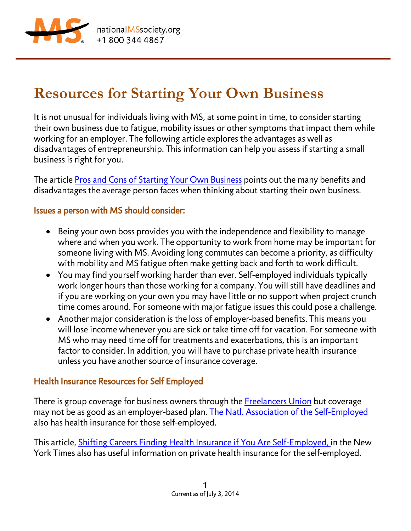

# **Resources for Starting Your Own Business**

It is not unusual for individuals living with MS, at some point in time, to consider starting their own business due to fatigue, mobility issues or other symptoms that impact them while working for an employer. The following article explores the advantages as well as disadvantages of entrepreneurship. This information can help you assess if starting a small business is right for you.

The article [Pros and Cons of Starting Your Own Business](http://usatoday30.usatoday.com/money/smallbusiness/startup/week1-pros-cons-table.htm) points out the many benefits and disadvantages the average person faces when thinking about starting their own business.

### Issues a person with MS should consider:

- Being your own boss provides you with the independence and flexibility to manage where and when you work. The opportunity to work from home may be important for someone living with MS. Avoiding long commutes can become a priority, as difficulty with mobility and MS fatigue often make getting back and forth to work difficult.
- You may find yourself working harder than ever. Self-employed individuals typically work longer hours than those working for a company. You will still have deadlines and if you are working on your own you may have little or no support when project crunch time comes around. For someone with major fatigue issues this could pose a challenge.
- Another major consideration is the loss of employer-based benefits. This means you will lose income whenever you are sick or take time off for vacation. For someone with MS who may need time off for treatments and exacerbations, this is an important factor to consider. In addition, you will have to purchase private health insurance unless you have another source of insurance coverage.

## Health Insurance Resources for Self Employed

There is group coverage for business owners through the **Freelancers Union** but coverage may not be as good as an employer-based plan. [The Natl. Association of the Self-Employed](http://www.nase.org/BenefitsHome.aspx) also has health insurance for those self-employed.

This article, [Shifting Careers Finding Health Insurance if You Are Self-Employed,](http://www.nytimes.com/2008/03/27/business/smallbusiness/27sbiz.html) in the New York Times also has useful information on private health insurance for the self-employed.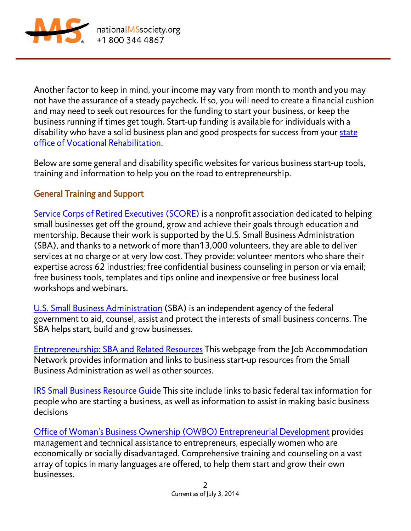

nationalMSsociety.org +18003444867

Another factor to keep in mind, your income may vary from month to month and you may not have the assurance of a steady paycheck. If so, you will need to create a financial cushion and may need to seek out resources for the funding to start your business, or keep the business running if times get tough. Start-up funding is available for individuals with a disability who have a solid business plan and good prospects for success from your [state](http://askjan.org/cgi-win/TypeQuery.exe?902)  [office of Vocational Rehabilitation.](http://askjan.org/cgi-win/TypeQuery.exe?902)

Below are some general and disability specific websites for various business start-up tools, training and information to help you on the road to entrepreneurship.

## General Training and Support

[Service Corps of Retired Executives \(SCORE\)](http://www.score.org/about-score) is a nonprofit association dedicated to helping small businesses get off the ground, grow and achieve their goals through education and mentorship. Because their work is supported by the U.S. Small Business Administration (SBA), and thanks to a network of more than13,000 volunteers, they are able to deliver services at no charge or at very low cost. They provide: volunteer mentors who share their expertise across 62 industries; free confidential business counseling in person or via email; free business tools, templates and tips online and inexpensive or free business local workshops and webinars.

[U.S. Small Business Administration](http://www.sba.gov/index.html) (SBA) is an independent agency of the federal government to aid, counsel, assist and protect the interests of small business concerns. The SBA helps start, build and grow businesses.

[Entrepreneurship: SBA and Related Resources](http://askjan.org/cgi-win/TypeQuery.exe?7304) This webpage from the Job Accommodation Network provides information and links to business start-up resources from the Small Business Administration as well as other sources.

[IRS Small Business Resource Guide](http://www.irs.gov/Businesses/Small-Businesses-&-Self-Employed/Starting-a-Business) This site include links to basic federal tax information for people who are starting a business, as well as information to assist in making basic business decisions

[Office of Woman's Business Ownership \(OWBO\) Entrepreneurial Development](http://archive.sba.gov/aboutsba/sbaprograms/onlinewbc/index.html) provides management and technical assistance to entrepreneurs, especially women who are economically or socially disadvantaged. Comprehensive training and counseling on a vast array of topics in many languages are offered, to help them start and grow their own businesses.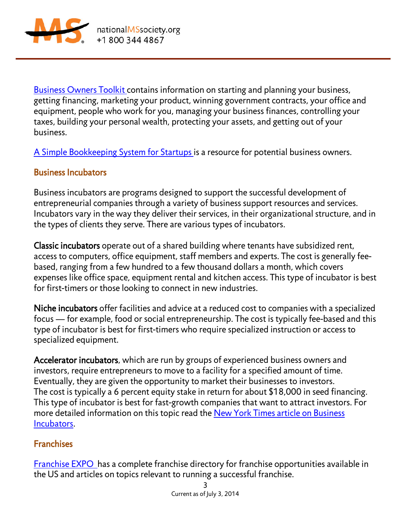

**Business Owners Toolkit contains information on starting and planning your business,** getting financing, marketing your product, winning government contracts, your office and equipment, people who work for you, managing your business finances, controlling your taxes, building your personal wealth, protecting your assets, and getting out of your business.

[A Simple Bookkeeping System for Startups](http://www.allbusiness.com/company-activities-management/operations/12310834-1.html) is a resource for potential business owners.

## Business Incubators

Business incubators are programs designed to support the successful development of entrepreneurial companies through a variety of business support resources and services. Incubators vary in the way they deliver their services, in their organizational structure, and in the types of clients they serve. There are various types of incubators.

Classic incubators operate out of a shared building where tenants have subsidized rent, access to computers, office equipment, staff members and experts. The cost is generally feebased, ranging from a few hundred to a few thousand dollars a month, which covers expenses like office space, equipment rental and kitchen access. This type of incubator is best for first-timers or those looking to connect in new industries.

Niche incubators offer facilities and advice at a reduced cost to companies with a specialized focus — for example, food or social entrepreneurship. The cost is typically fee-based and this type of incubator is best for first-timers who require specialized instruction or access to specialized equipment.

Accelerator incubators, which are run by groups of experienced business owners and investors, require entrepreneurs to move to a facility for a specified amount of time. Eventually, they are given the opportunity to market their businesses to investors. The cost is typically a 6 percent equity stake in return for about \$18,000 in seed financing. This type of incubator is best for fast-growth companies that want to attract investors. For more detailed information on this topic read the New York [Times article on Business](http://www.nytimes.com/2011/01/27/business/smallbusiness/27sbiz.html?_r=1&)  [Incubators.](http://www.nytimes.com/2011/01/27/business/smallbusiness/27sbiz.html?_r=1&)

#### **Franchises**

Franchise EXPO has a complete franchise directory for franchise opportunities available in the US and articles on topics relevant to running a successful franchise.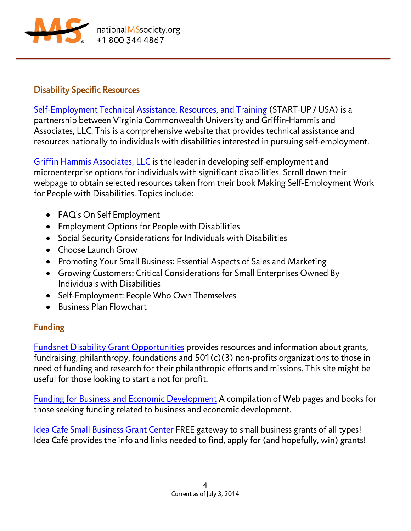

### Disability Specific Resources

[Self-Employment Technical Assistance, Resources, and Training](http://www.start-up-usa.biz/) (START-UP / USA) is a partnership between Virginia Commonwealth University and Griffin-Hammis and Associates, LLC. This is a comprehensive website that provides technical assistance and resources nationally to individuals with disabilities interested in pursuing self-employment.

[Griffin Hammis Associates, LLC](http://www.griffinhammis.com/home.html) is the leader in developing self-employment and microenterprise options for individuals with significant disabilities. Scroll down their webpage to obtain selected resources taken from their book Making Self-Employment Work for People with Disabilities. Topics include:

- FAQ's On Self Employment
- Employment Options for People with Disabilities
- Social Security Considerations for Individuals with Disabilities
- Choose Launch Grow
- Promoting Your Small Business: Essential Aspects of Sales and Marketing
- Growing Customers: Critical Considerations for Small Enterprises Owned By Individuals with Disabilities
- Self-Employment: People Who Own Themselves
- Business Plan Flowchart

## Funding

[Fundsnet Disability Grant Opportunities](http://www.fundsnetservices.com/searchresult/5/Disability-Grants.html) provides resources and information about grants, fundraising, philanthropy, foundations and 501(c)(3) non-profits organizations to those in need of funding and research for their philanthropic efforts and missions. This site might be useful for those looking to start a not for profit.

[Funding for Business and Economic Development](http://www.fundsnetservices.com/searchresult/5/Disability-Grants.html) A compilation of Web pages and books for those seeking funding related to business and economic development.

[Idea Cafe Small Business Grant Center](http://www.businessownersideacafe.com/business_grants/) FREE gateway to small business grants of all types! Idea Café provides the info and links needed to find, apply for (and hopefully, win) grants!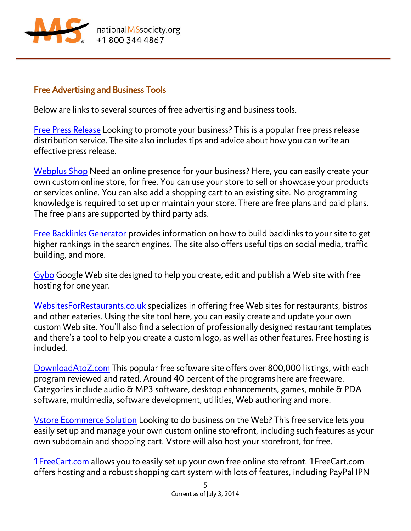

#### Free Advertising and Business Tools

Below are links to several sources of free advertising and business tools.

[Free Press Release](http://www.free-press-release.com/) Looking to promote your business? This is a popular free press release distribution service. The site also includes tips and advice about how you can write an effective press release.

[Webplus Shop](http://www.webplusshop.com/) Need an online presence for your business? Here, you can easily create your own custom online store, for free. You can use your store to sell or showcase your products or services online. You can also add a shopping cart to an existing site. No programming knowledge is required to set up or maintain your store. There are free plans and paid plans. The free plans are supported by third party ads.

[Free Backlinks Generator](http://download.cnet.com/Mass-Traffic-Instant-Free-Backlink-Generator/3000-2650_4-75699731.html) provides information on how to build backlinks to your site to get higher rankings in the search engines. The site also offers useful tips on social media, traffic building, and more.

[Gybo](http://www.gybo.com/new-york/) Google Web site designed to help you create, edit and publish a Web site with free hosting for one year.

[WebsitesForRestaurants.co.uk](http://www.websitesforrestaurants.co.uk/) specializes in offering free Web sites for restaurants, bistros and other eateries. Using the site tool here, you can easily create and update your own custom Web site. You'll also find a selection of professionally designed restaurant templates and there's a tool to help you create a custom logo, as well as other features. Free hosting is included.

[DownloadAtoZ.com](http://www.downloadatoz.com/) This popular free software site offers over 800,000 listings, with each program reviewed and rated. Around 40 percent of the programs here are freeware. Categories include audio & MP3 software, desktop enhancements, games, mobile & PDA software, multimedia, software development, utilities, Web authoring and more.

[Vstore Ecommerce Solution](http://www.vstore.ca/) Looking to do business on the Web? This free service lets you easily set up and manage your own custom online storefront, including such features as your own subdomain and shopping cart. Vstore will also host your storefront, for free.

[1FreeCart.com](http://www.1freecart.com/) allows you to easily set up your own free online storefront. 1FreeCart.com offers hosting and a robust shopping cart system with lots of features, including PayPal IPN